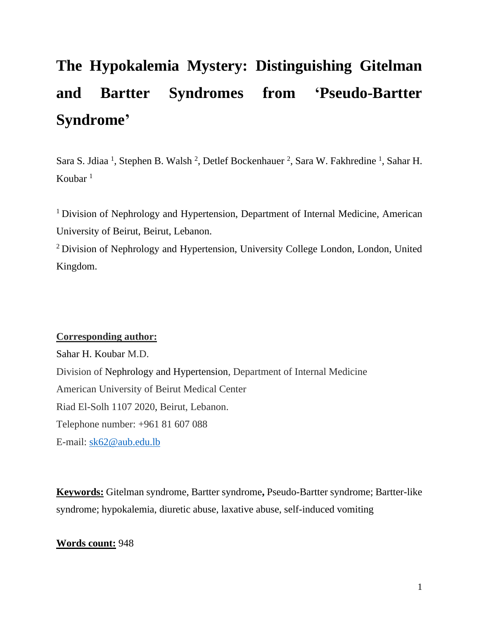# **The Hypokalemia Mystery: Distinguishing Gitelman and Bartter Syndromes from 'Pseudo-Bartter Syndrome'**

Sara S. Jdiaa<sup>1</sup>, Stephen B. Walsh<sup>2</sup>, Detlef Bockenhauer<sup>2</sup>, Sara W. Fakhredine<sup>1</sup>, Sahar H. Koubar $<sup>1</sup>$ </sup>

<sup>1</sup> Division of Nephrology and Hypertension, Department of Internal Medicine, American University of Beirut, Beirut, Lebanon.

<sup>2</sup> Division of Nephrology and Hypertension, University College London, London, United Kingdom.

# **Corresponding author:**

Sahar H. Koubar M.D. Division of Nephrology and Hypertension, Department of Internal Medicine American University of Beirut Medical Center Riad El-Solh 1107 2020, Beirut, Lebanon. Telephone number: +961 81 607 088 E-mail: [sk62@aub.edu.lb](mailto:sk62@aub.edu.lb)

**Keywords:** Gitelman syndrome, Bartter syndrome**,** Pseudo-Bartter syndrome; Bartter-like syndrome; hypokalemia, diuretic abuse, laxative abuse, self-induced vomiting

# **Words count:** 948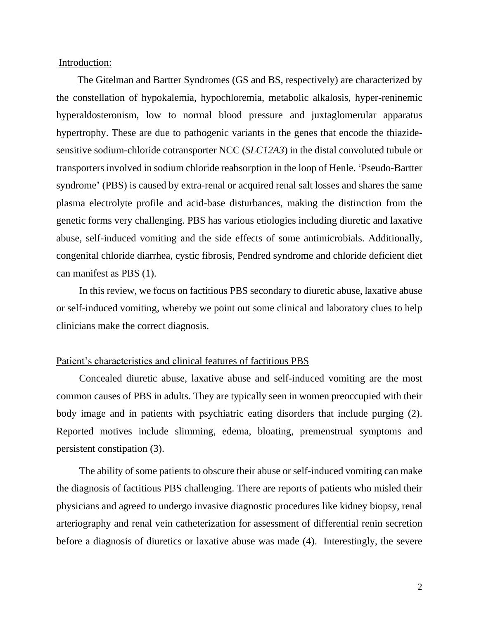Introduction:

 The Gitelman and Bartter Syndromes (GS and BS, respectively) are characterized by the constellation of hypokalemia, hypochloremia, metabolic alkalosis, hyper-reninemic hyperaldosteronism, low to normal blood pressure and juxtaglomerular apparatus hypertrophy. These are due to pathogenic variants in the genes that encode the thiazidesensitive sodium-chloride cotransporter NCC (*SLC12A3*) in the distal convoluted tubule or transporters involved in sodium chloride reabsorption in the loop of Henle. 'Pseudo-Bartter syndrome' (PBS) is caused by extra-renal or acquired renal salt losses and shares the same plasma electrolyte profile and acid-base disturbances, making the distinction from the genetic forms very challenging. PBS has various etiologies including diuretic and laxative abuse, self-induced vomiting and the side effects of some antimicrobials. Additionally, congenital chloride diarrhea, cystic fibrosis, Pendred syndrome and chloride deficient diet can manifest as PBS (1).

 In this review, we focus on factitious PBS secondary to diuretic abuse, laxative abuse or self-induced vomiting, whereby we point out some clinical and laboratory clues to help clinicians make the correct diagnosis.

## Patient's characteristics and clinical features of factitious PBS

 Concealed diuretic abuse, laxative abuse and self-induced vomiting are the most common causes of PBS in adults. They are typically seen in women preoccupied with their body image and in patients with psychiatric eating disorders that include purging (2). Reported motives include slimming, edema, bloating, premenstrual symptoms and persistent constipation (3).

 The ability of some patients to obscure their abuse or self-induced vomiting can make the diagnosis of factitious PBS challenging. There are reports of patients who misled their physicians and agreed to undergo invasive diagnostic procedures like kidney biopsy, renal arteriography and renal vein catheterization for assessment of differential renin secretion before a diagnosis of diuretics or laxative abuse was made (4). Interestingly, the severe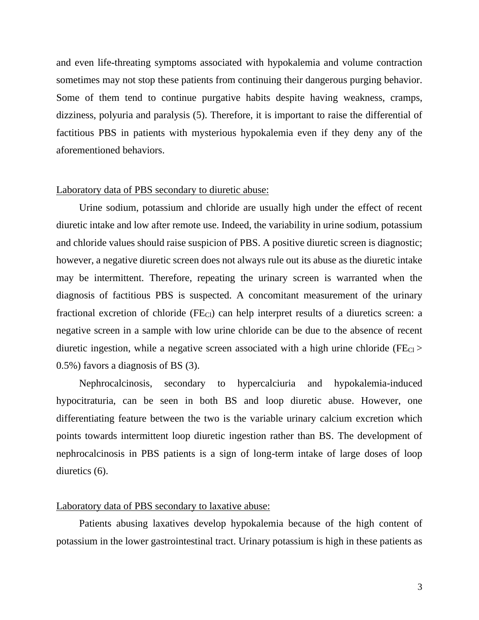and even life-threating symptoms associated with hypokalemia and volume contraction sometimes may not stop these patients from continuing their dangerous purging behavior. Some of them tend to continue purgative habits despite having weakness, cramps, dizziness, polyuria and paralysis (5). Therefore, it is important to raise the differential of factitious PBS in patients with mysterious hypokalemia even if they deny any of the aforementioned behaviors.

## Laboratory data of PBS secondary to diuretic abuse:

 Urine sodium, potassium and chloride are usually high under the effect of recent diuretic intake and low after remote use. Indeed, the variability in urine sodium, potassium and chloride values should raise suspicion of PBS. A positive diuretic screen is diagnostic; however, a negative diuretic screen does not always rule out its abuse as the diuretic intake may be intermittent. Therefore, repeating the urinary screen is warranted when the diagnosis of factitious PBS is suspected. A concomitant measurement of the urinary fractional excretion of chloride ( $FE<sub>Cl</sub>$ ) can help interpret results of a diuretics screen: a negative screen in a sample with low urine chloride can be due to the absence of recent diuretic ingestion, while a negative screen associated with a high urine chloride ( $FE<sub>Cl</sub>$ ) 0.5%) favors a diagnosis of BS (3).

 Nephrocalcinosis, secondary to hypercalciuria and hypokalemia-induced hypocitraturia, can be seen in both BS and loop diuretic abuse. However, one differentiating feature between the two is the variable urinary calcium excretion which points towards intermittent loop diuretic ingestion rather than BS. The development of nephrocalcinosis in PBS patients is a sign of long-term intake of large doses of loop diuretics (6).

#### Laboratory data of PBS secondary to laxative abuse:

 Patients abusing laxatives develop hypokalemia because of the high content of potassium in the lower gastrointestinal tract. Urinary potassium is high in these patients as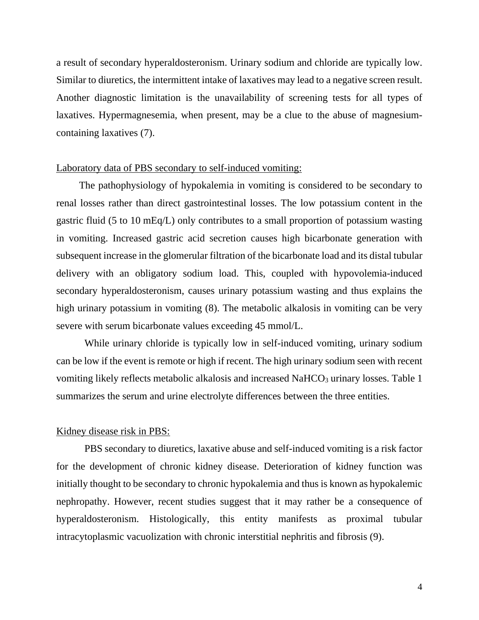a result of secondary hyperaldosteronism. Urinary sodium and chloride are typically low. Similar to diuretics, the intermittent intake of laxatives may lead to a negative screen result. Another diagnostic limitation is the unavailability of screening tests for all types of laxatives. Hypermagnesemia, when present, may be a clue to the abuse of magnesiumcontaining laxatives (7).

## Laboratory data of PBS secondary to self-induced vomiting:

 The pathophysiology of hypokalemia in vomiting is considered to be secondary to renal losses rather than direct gastrointestinal losses. The low potassium content in the gastric fluid (5 to 10 mEq/L) only contributes to a small proportion of potassium wasting in vomiting. Increased gastric acid secretion causes high bicarbonate generation with subsequent increase in the glomerular filtration of the bicarbonate load and its distal tubular delivery with an obligatory sodium load. This, coupled with hypovolemia-induced secondary hyperaldosteronism, causes urinary potassium wasting and thus explains the high urinary potassium in vomiting (8). The metabolic alkalosis in vomiting can be very severe with serum bicarbonate values exceeding 45 mmol/L.

While urinary chloride is typically low in self-induced vomiting, urinary sodium can be low if the event is remote or high if recent. The high urinary sodium seen with recent vomiting likely reflects metabolic alkalosis and increased NaHCO<sub>3</sub> urinary losses. Table 1 summarizes the serum and urine electrolyte differences between the three entities.

## Kidney disease risk in PBS:

PBS secondary to diuretics, laxative abuse and self-induced vomiting is a risk factor for the development of chronic kidney disease. Deterioration of kidney function was initially thought to be secondary to chronic hypokalemia and thus is known as hypokalemic nephropathy. However, recent studies suggest that it may rather be a consequence of hyperaldosteronism. Histologically, this entity manifests as proximal tubular intracytoplasmic vacuolization with chronic interstitial nephritis and fibrosis (9).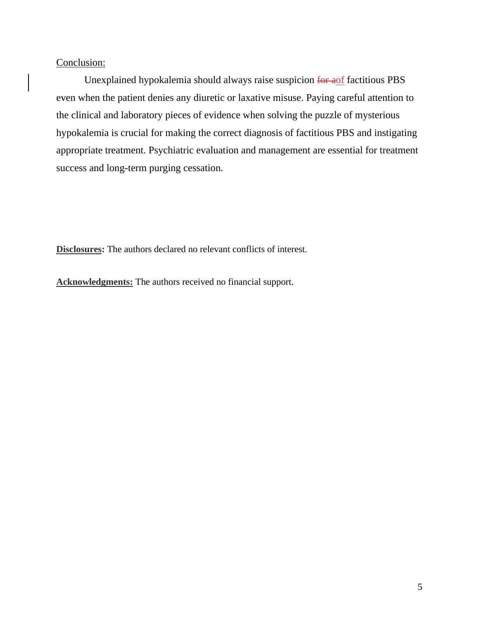# Conclusion:

 Unexplained hypokalemia should always raise suspicion for aof factitious PBS even when the patient denies any diuretic or laxative misuse. Paying careful attention to the clinical and laboratory pieces of evidence when solving the puzzle of mysterious hypokalemia is crucial for making the correct diagnosis of factitious PBS and instigating appropriate treatment. Psychiatric evaluation and management are essential for treatment success and long-term purging cessation.

**Disclosures:** The authors declared no relevant conflicts of interest.

**Acknowledgments:** The authors received no financial support.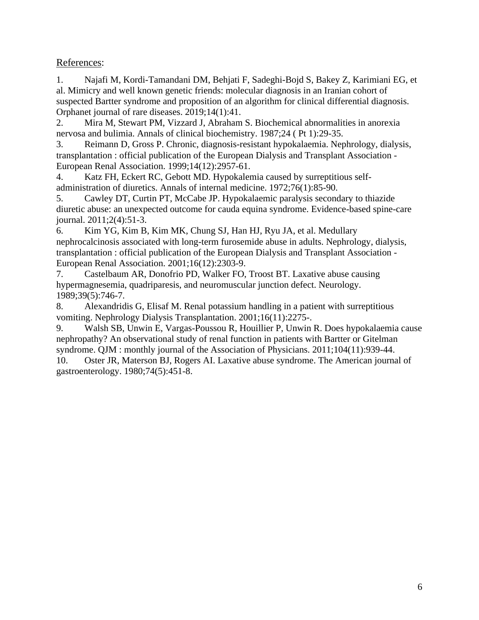# References:

1. Najafi M, Kordi-Tamandani DM, Behjati F, Sadeghi-Bojd S, Bakey Z, Karimiani EG, et al. Mimicry and well known genetic friends: molecular diagnosis in an Iranian cohort of suspected Bartter syndrome and proposition of an algorithm for clinical differential diagnosis. Orphanet journal of rare diseases. 2019;14(1):41.

2. Mira M, Stewart PM, Vizzard J, Abraham S. Biochemical abnormalities in anorexia nervosa and bulimia. Annals of clinical biochemistry. 1987;24 ( Pt 1):29-35.

3. Reimann D, Gross P. Chronic, diagnosis-resistant hypokalaemia. Nephrology, dialysis, transplantation : official publication of the European Dialysis and Transplant Association - European Renal Association. 1999;14(12):2957-61.

4. Katz FH, Eckert RC, Gebott MD. Hypokalemia caused by surreptitious selfadministration of diuretics. Annals of internal medicine. 1972;76(1):85-90.

5. Cawley DT, Curtin PT, McCabe JP. Hypokalaemic paralysis secondary to thiazide diuretic abuse: an unexpected outcome for cauda equina syndrome. Evidence-based spine-care journal. 2011;2(4):51-3.

6. Kim YG, Kim B, Kim MK, Chung SJ, Han HJ, Ryu JA, et al. Medullary nephrocalcinosis associated with long-term furosemide abuse in adults. Nephrology, dialysis, transplantation : official publication of the European Dialysis and Transplant Association - European Renal Association. 2001;16(12):2303-9.

7. Castelbaum AR, Donofrio PD, Walker FO, Troost BT. Laxative abuse causing hypermagnesemia, quadriparesis, and neuromuscular junction defect. Neurology. 1989;39(5):746-7.

8. Alexandridis G, Elisaf M. Renal potassium handling in a patient with surreptitious vomiting. Nephrology Dialysis Transplantation. 2001;16(11):2275-.

9. Walsh SB, Unwin E, Vargas-Poussou R, Houillier P, Unwin R. Does hypokalaemia cause nephropathy? An observational study of renal function in patients with Bartter or Gitelman syndrome. QJM : monthly journal of the Association of Physicians. 2011;104(11):939-44.

10. Oster JR, Materson BJ, Rogers AI. Laxative abuse syndrome. The American journal of gastroenterology. 1980;74(5):451-8.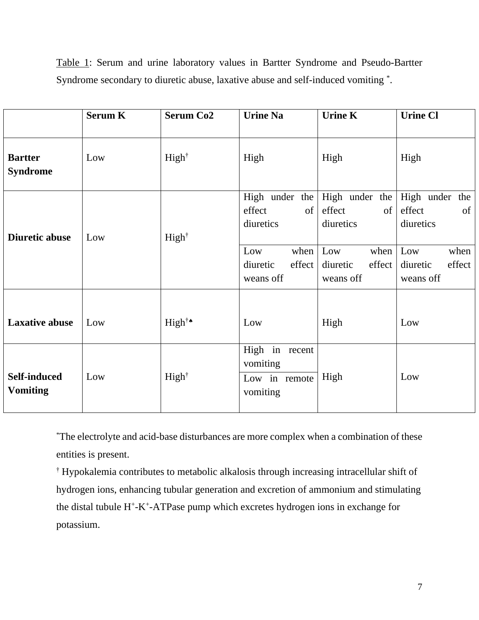|                                        | <b>Serum K</b> | <b>Serum Co2</b>  | <b>Urine Na</b>                                                                  | <b>Urine K</b>                                                                   | <b>Urine Cl</b>                                                                  |
|----------------------------------------|----------------|-------------------|----------------------------------------------------------------------------------|----------------------------------------------------------------------------------|----------------------------------------------------------------------------------|
| <b>Bartter</b><br><b>Syndrome</b>      | Low            | High <sup>†</sup> | High                                                                             | High                                                                             | High                                                                             |
| <b>Diuretic abuse</b>                  | Low            | High <sup>†</sup> | High under the<br>effect<br>of<br>diuretics<br>Low<br>when<br>effect<br>diuretic | High under the<br>effect<br>of<br>diuretics<br>Low<br>when<br>effect<br>diuretic | High under the<br>effect<br>of<br>diuretics<br>Low<br>when<br>effect<br>diuretic |
| <b>Laxative abuse</b>                  | Low            | High <sup>†</sup> | weans off<br>Low                                                                 | weans off<br>High                                                                | weans off<br>Low                                                                 |
| <b>Self-induced</b><br><b>Vomiting</b> | Low            | High <sup>†</sup> | High in recent<br>vomiting<br>Low in remote<br>vomiting                          | High                                                                             | Low                                                                              |

Table 1: Serum and urine laboratory values in Bartter Syndrome and Pseudo-Bartter Syndrome secondary to diuretic abuse, laxative abuse and self-induced vomiting \* .

\*The electrolyte and acid-base disturbances are more complex when a combination of these entities is present.

† Hypokalemia contributes to metabolic alkalosis through increasing intracellular shift of hydrogen ions, enhancing tubular generation and excretion of ammonium and stimulating the distal tubule H<sup>+</sup>-K<sup>+</sup>-ATPase pump which excretes hydrogen ions in exchange for potassium.